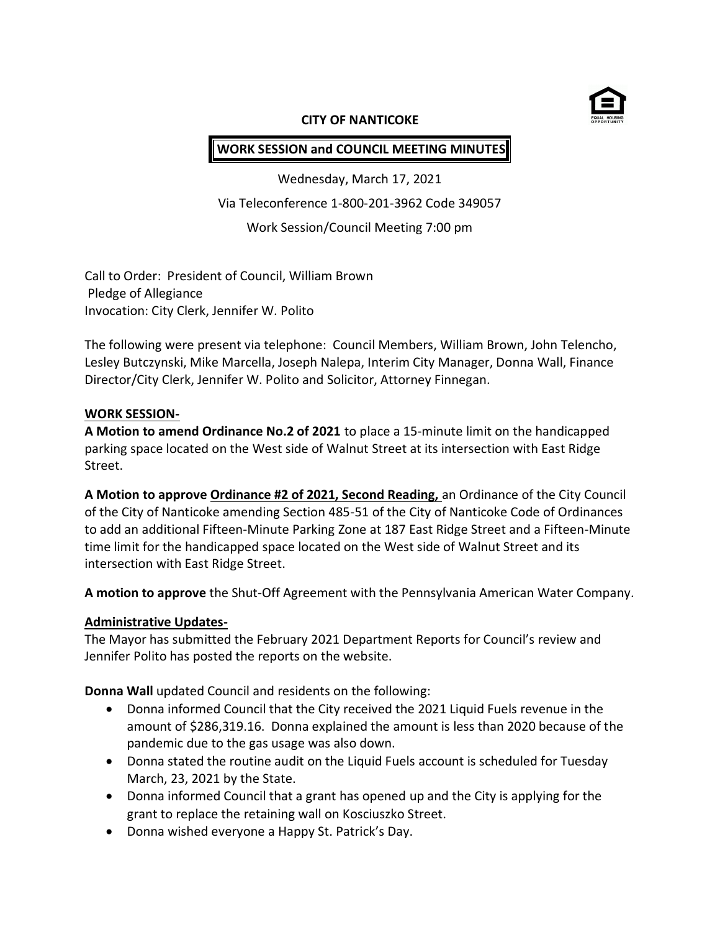

### **CITY OF NANTICOKE**

# **WORK SESSION and COUNCIL MEETING MINUTES**

Wednesday, March 17, 2021 Via Teleconference 1-800-201-3962 Code 349057 Work Session/Council Meeting 7:00 pm

Call to Order: President of Council, William Brown Pledge of Allegiance Invocation: City Clerk, Jennifer W. Polito

The following were present via telephone: Council Members, William Brown, John Telencho, Lesley Butczynski, Mike Marcella, Joseph Nalepa, Interim City Manager, Donna Wall, Finance Director/City Clerk, Jennifer W. Polito and Solicitor, Attorney Finnegan.

## **WORK SESSION-**

**A Motion to amend Ordinance No.2 of 2021** to place a 15-minute limit on the handicapped parking space located on the West side of Walnut Street at its intersection with East Ridge Street.

**A Motion to approve Ordinance #2 of 2021, Second Reading,** an Ordinance of the City Council of the City of Nanticoke amending Section 485-51 of the City of Nanticoke Code of Ordinances to add an additional Fifteen-Minute Parking Zone at 187 East Ridge Street and a Fifteen-Minute time limit for the handicapped space located on the West side of Walnut Street and its intersection with East Ridge Street.

**A motion to approve** the Shut-Off Agreement with the Pennsylvania American Water Company.

## **Administrative Updates-**

The Mayor has submitted the February 2021 Department Reports for Council's review and Jennifer Polito has posted the reports on the website.

**Donna Wall** updated Council and residents on the following:

- Donna informed Council that the City received the 2021 Liquid Fuels revenue in the amount of \$286,319.16. Donna explained the amount is less than 2020 because of the pandemic due to the gas usage was also down.
- Donna stated the routine audit on the Liquid Fuels account is scheduled for Tuesday March, 23, 2021 by the State.
- Donna informed Council that a grant has opened up and the City is applying for the grant to replace the retaining wall on Kosciuszko Street.
- Donna wished everyone a Happy St. Patrick's Day.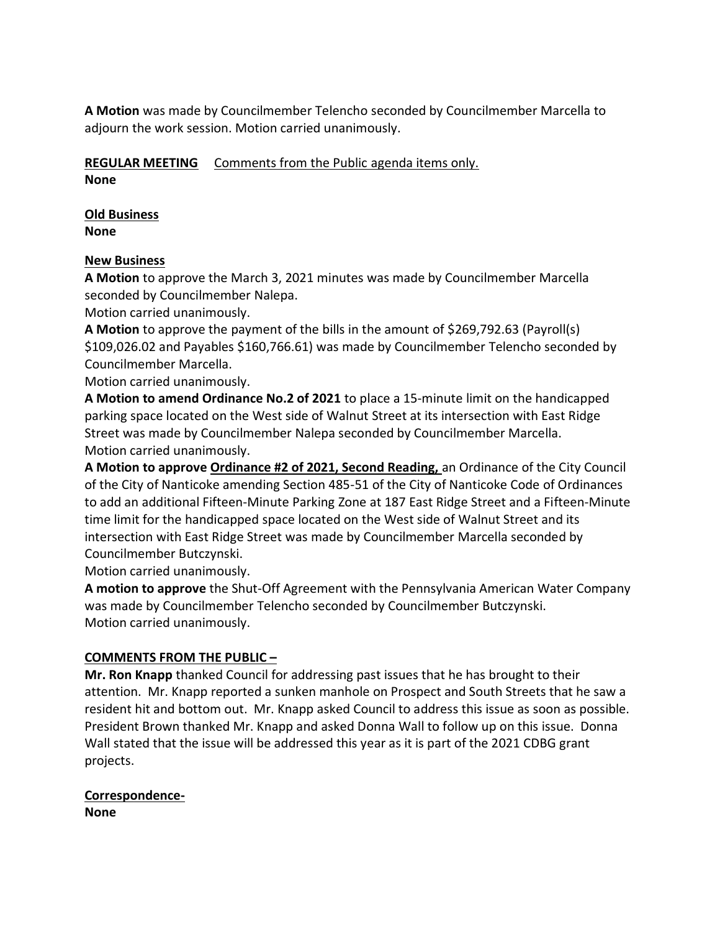**A Motion** was made by Councilmember Telencho seconded by Councilmember Marcella to adjourn the work session. Motion carried unanimously.

## **REGULAR MEETING** Comments from the Public agenda items only. **None**

## **Old Business None**

## **New Business**

**A Motion** to approve the March 3, 2021 minutes was made by Councilmember Marcella seconded by Councilmember Nalepa.

Motion carried unanimously.

**A Motion** to approve the payment of the bills in the amount of \$269,792.63 (Payroll(s) \$109,026.02 and Payables \$160,766.61) was made by Councilmember Telencho seconded by Councilmember Marcella.

Motion carried unanimously.

**A Motion to amend Ordinance No.2 of 2021** to place a 15-minute limit on the handicapped parking space located on the West side of Walnut Street at its intersection with East Ridge Street was made by Councilmember Nalepa seconded by Councilmember Marcella. Motion carried unanimously.

**A Motion to approve Ordinance #2 of 2021, Second Reading,** an Ordinance of the City Council of the City of Nanticoke amending Section 485-51 of the City of Nanticoke Code of Ordinances to add an additional Fifteen-Minute Parking Zone at 187 East Ridge Street and a Fifteen-Minute time limit for the handicapped space located on the West side of Walnut Street and its intersection with East Ridge Street was made by Councilmember Marcella seconded by Councilmember Butczynski.

Motion carried unanimously.

**A motion to approve** the Shut-Off Agreement with the Pennsylvania American Water Company was made by Councilmember Telencho seconded by Councilmember Butczynski. Motion carried unanimously.

## **COMMENTS FROM THE PUBLIC –**

**Mr. Ron Knapp** thanked Council for addressing past issues that he has brought to their attention. Mr. Knapp reported a sunken manhole on Prospect and South Streets that he saw a resident hit and bottom out. Mr. Knapp asked Council to address this issue as soon as possible. President Brown thanked Mr. Knapp and asked Donna Wall to follow up on this issue. Donna Wall stated that the issue will be addressed this year as it is part of the 2021 CDBG grant projects.

# **Correspondence-None**